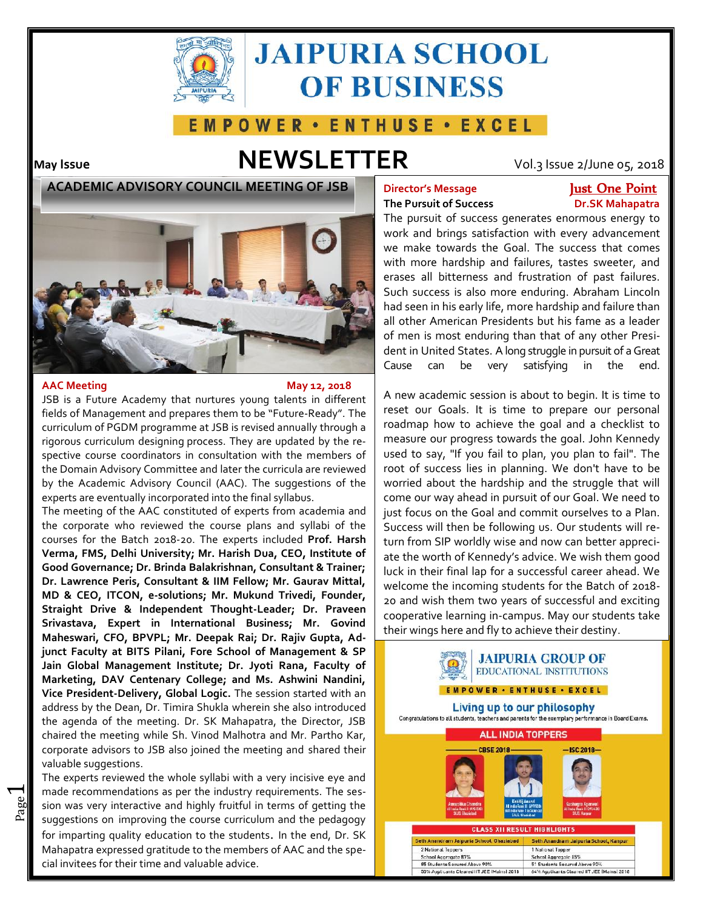

# **JAIPURIA SCHOOL OF BUSINESS**



# **May Issue NEWSLETTER** Vol.3 Issue 2/June 05, 2018

**ACADEMIC ADVISORY COUNCIL MEETING OF JSB**



### **AAC Meeting May 12, 2018**

 $\overline{\phantom{0}}$ 

JSB is a Future Academy that nurtures young talents in different fields of Management and prepares them to be "Future-Ready". The curriculum of PGDM programme at JSB is revised annually through a rigorous curriculum designing process. They are updated by the respective course coordinators in consultation with the members of the Domain Advisory Committee and later the curricula are reviewed by the Academic Advisory Council (AAC). The suggestions of the experts are eventually incorporated into the final syllabus.

The meeting of the AAC constituted of experts from academia and the corporate who reviewed the course plans and syllabi of the courses for the Batch 2018-20. The experts included **Prof. Harsh Verma, FMS, Delhi University; Mr. Harish Dua, CEO, Institute of Good Governance; Dr. Brinda Balakrishnan, Consultant & Trainer; Dr. Lawrence Peris, Consultant & IIM Fellow; Mr. Gaurav Mittal, MD & CEO, ITCON, e-solutions; Mr. Mukund Trivedi, Founder, Straight Drive & Independent Thought-Leader; Dr. Praveen Srivastava, Expert in International Business; Mr. Govind Maheswari, CFO, BPVPL; Mr. Deepak Rai; Dr. Rajiv Gupta, Adjunct Faculty at BITS Pilani, Fore School of Management & SP Jain Global Management Institute; Dr. Jyoti Rana, Faculty of Marketing, DAV Centenary College; and Ms. Ashwini Nandini, Vice President-Delivery, Global Logic.** The session started with an address by the Dean, Dr. Timira Shukla wherein she also introduced **Living up to our philosophy**<br>The example of the measting Dr. CK Mehanatics, the Directory JCD Congresulations to all students, teachers and parents for th the agenda of the meeting. Dr. SK Mahapatra, the Director, JSB chaired the meeting while Sh. Vinod Malhotra and Mr. Partho Kar, corporate advisors to JSB also joined the meeting and shared their valuable suggestions.

 $\frac{20}{20}$  sion was very interactive and highly fruitful in terms of getting the made recommendations as per the industry requirements. The ses-The experts reviewed the whole syllabi with a very incisive eye and suggestions on improving the course curriculum and the pedagogy for imparting quality education to the students. In the end, Dr. SK Mahapatra expressed gratitude to the members of AAC and the special invitees for their time and valuable advice.

## **The Pursuit of Success Dr.SK Mahapatra**

## **Director's Message Just One Point**

The pursuit of success generates enormous energy to work and brings satisfaction with every advancement we make towards the Goal. The success that comes with more hardship and failures, tastes sweeter, and erases all bitterness and frustration of past failures. Such success is also more enduring. Abraham Lincoln had seen in his early life, more hardship and failure than all other American Presidents but his fame as a leader of men is most enduring than that of any other President in United States. A long struggle in pursuit of a Great Cause can be very satisfying in the end.

A new academic session is about to begin. It is time to reset our Goals. It is time to prepare our personal roadmap how to achieve the goal and a checklist to measure our progress towards the goal. John Kennedy used to say, "If you fail to plan, you plan to fail". The root of success lies in planning. We don't have to be worried about the hardship and the struggle that will come our way ahead in pursuit of our Goal. We need to just focus on the Goal and commit ourselves to a Plan. Success will then be following us. Our students will return from SIP worldly wise and now can better appreciate the worth of Kennedy's advice. We wish them good luck in their final lap for a successful career ahead. We welcome the incoming students for the Batch of 2018- 20 and wish them two years of successful and exciting cooperative learning in-campus. May our students take their wings here and fly to achieve their destiny.

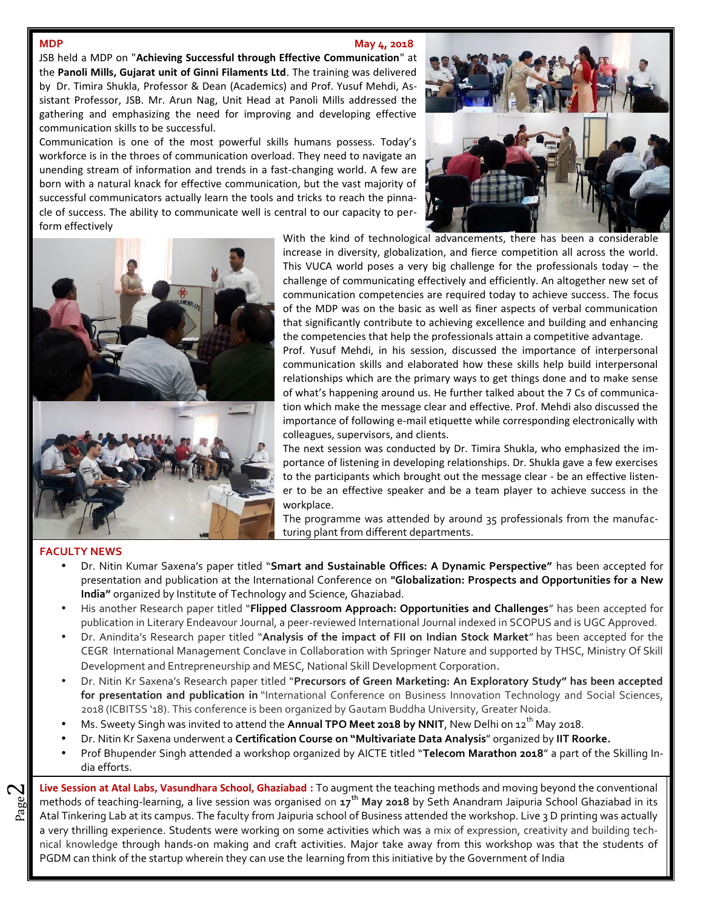## **MDP May** 4, 2018

JSB held a MDP on "**Achieving Successful through Effective Communication**" at the **Panoli Mills, Gujarat unit of Ginni Filaments Ltd**. The training was delivered by Dr. Timira Shukla, Professor & Dean (Academics) and Prof. Yusuf Mehdi, Assistant Professor, JSB. Mr. Arun Nag, Unit Head at Panoli Mills addressed the gathering and emphasizing the need for improving and developing effective communication skills to be successful.

Communication is one of the most powerful skills humans possess. Today's workforce is in the throes of communication overload. They need to navigate an unending stream of information and trends in a fast-changing world. A few are born with a natural knack for effective communication, but the vast majority of successful communicators actually learn the tools and tricks to reach the pinnacle of success. The ability to communicate well is central to our capacity to perform effectively





With the kind of technological advancements, there has been a considerable increase in diversity, globalization, and fierce competition all across the world. This VUCA world poses a very big challenge for the professionals today – the challenge of communicating effectively and efficiently. An altogether new set of communication competencies are required today to achieve success. The focus of the MDP was on the basic as well as finer aspects of verbal communication that significantly contribute to achieving excellence and building and enhancing the competencies that help the professionals attain a competitive advantage.

Prof. Yusuf Mehdi, in his session, discussed the importance of interpersonal communication skills and elaborated how these skills help build interpersonal relationships which are the primary ways to get things done and to make sense of what's happening around us. He further talked about the 7 Cs of communication which make the message clear and effective. Prof. Mehdi also discussed the importance of following e-mail etiquette while corresponding electronically with colleagues, supervisors, and clients.

The next session was conducted by Dr. Timira Shukla, who emphasized the importance of listening in developing relationships. Dr. Shukla gave a few exercises to the participants which brought out the message clear - be an effective listener to be an effective speaker and be a team player to achieve success in the workplace.

The programme was attended by around 35 professionals from the manufacturing plant from different departments.

### **FACULTY NEWS**

 $\boldsymbol{\sim}$ 

- Dr. Nitin Kumar Saxena's paper titled "**Smart and Sustainable Offices: A Dynamic Perspective"** has been accepted for presentation and publication at the International Conference on **"Globalization: Prospects and Opportunities for a New India"** organized by Institute of Technology and Science, Ghaziabad.
- His another Research paper titled "**Flipped Classroom Approach: Opportunities and Challenges**" has been accepted for publication in Literary Endeavour Journal, a peer-reviewed International Journal indexed in SCOPUS and is UGC Approved.
- Dr. Anindita's Research paper titled "**Analysis of the impact of FII on Indian Stock Market**" has been accepted for the CEGR International Management Conclave in Collaboration with Springer Nature and supported by THSC, Ministry Of Skill Development and Entrepreneurship and MESC, National Skill Development Corporation.
- Dr. Nitin Kr Saxena's Research paper titled "**Precursors of Green Marketing: An Exploratory Study" has been accepted for presentation and publication in** "International Conference on Business Innovation Technology and Social Sciences, 2018 (ICBITSS '18). This conference is been organized by Gautam Buddha University, Greater Noida.
- Ms. Sweety Singh was invited to attend the **Annual TPO Meet 2018 by NNIT**, New Delhi on 12<sup>th</sup> May 2018.
- Dr. Nitin Kr Saxena underwent a **Certification Course on "Multivariate Data Analysis**" organized by **IIT Roorke.**
- Prof Bhupender Singh attended a workshop organized by AICTE titled "**Telecom Marathon 2018**" a part of the Skilling India efforts.

 $\mathbb{E}$  methods of teaching-learning, a live session was organised on 17<sup>th</sup> May 2018 by Seth Anandram Jaipuria School Ghaziabad in its  $\parallel$  methods of teaching-learning, a live session was organised on **17 th May 2018** by Seth Anandram Jaipuria School Ghaziabad in its **Live Session at Atal Labs, Vasundhara School, Ghaziabad :** To augment the teaching methods and moving beyond the conventional a very thrilling experience. Students were working on some activities which was a mix of expression, creativity and building technical knowledge through hands-on making and craft activities. Major take away from this workshop was that the students of PGDM can think of the startup wherein they can use the learning from this initiative by the Government of India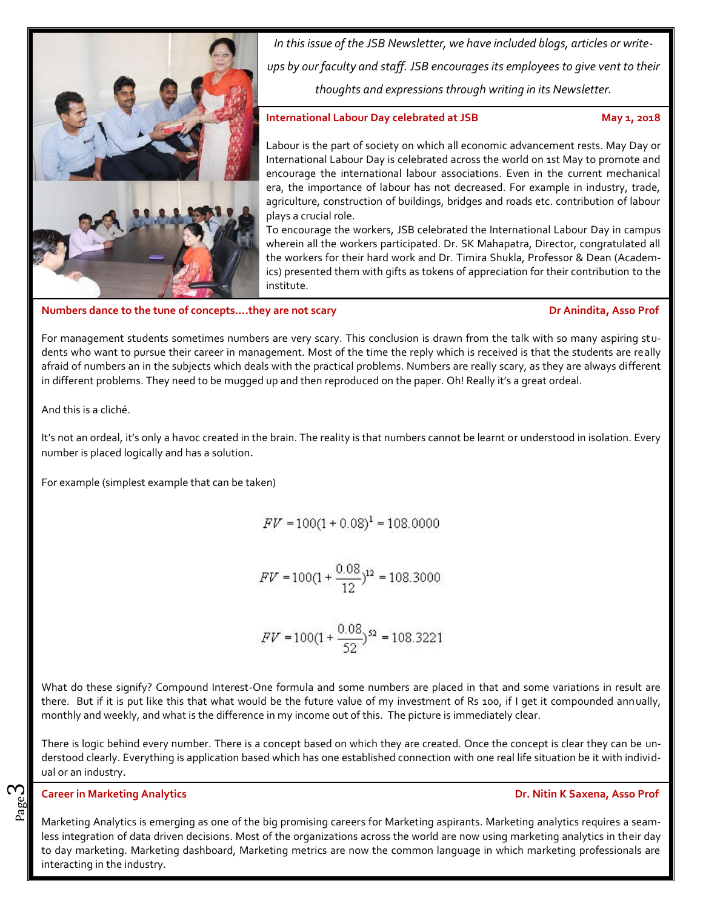

*In this issue of the JSB Newsletter, we have included blogs, articles or write ups by our faculty and staff. JSB encourages its employees to give vent to their thoughts and expressions through writing in its Newsletter.*

## **International Labour Day celebrated at JSB May 1, 2018**

Labour is the part of society on which all economic advancement rests. May Day or International Labour Day is celebrated across the world on 1st May to promote and encourage the international labour associations. Even in the current mechanical era, the importance of labour has not decreased. For example in industry, trade, agriculture, construction of buildings, bridges and roads etc. contribution of labour plays a crucial role.

To encourage the workers, JSB celebrated the International Labour Day in campus wherein all the workers participated. Dr. SK Mahapatra, Director, congratulated all the workers for their hard work and Dr. Timira Shukla, Professor & Dean (Academics) presented them with gifts as tokens of appreciation for their contribution to the institute.

**Numbers dance to the tune of concepts….they are not scary Dr Anindita, Asso Prof**

For management students sometimes numbers are very scary. This conclusion is drawn from the talk with so many aspiring students who want to pursue their career in management. Most of the time the reply which is received is that the students are really afraid of numbers an in the subjects which deals with the practical problems. Numbers are really scary, as they are always different in different problems. They need to be mugged up and then reproduced on the paper. Oh! Really it's a great ordeal.

And this is a cliché.

It's not an ordeal, it's only a havoc created in the brain. The reality is that numbers cannot be learnt or understood in isolation. Every number is placed logically and has a solution.

For example (simplest example that can be taken)

 $FV = 100(1 + 0.08)^{1} = 108.0000$ 

 $FV = 100(1 + \frac{0.08}{12})^{12} = 108.3000$ 

$$
FV = 100(1 + \frac{0.08}{52})^{52} = 108.3221
$$

What do these signify? Compound Interest-One formula and some numbers are placed in that and some variations in result are there. But if it is put like this that what would be the future value of my investment of Rs 100, if I get it compounded annually, monthly and weekly, and what is the difference in my income out of this. The picture is immediately clear.

There is logic behind every number. There is a concept based on which they are created. Once the concept is clear they can be understood clearly. Everything is application based which has one established connection with one real life situation be it with individual or an industry.

## **Career in Marketing Analytics**

ო

page **Career in Marketing Analytics**<br>Bag<br>Marketing Analytics is emerging as one of the big promising careers for Marketing aspirants. Marketing analytics requires a seamless integration of data driven decisions. Most of the organizations across the world are now using marketing analytics in their day to day marketing. Marketing dashboard, Marketing metrics are now the common language in which marketing professionals are interacting in the industry.